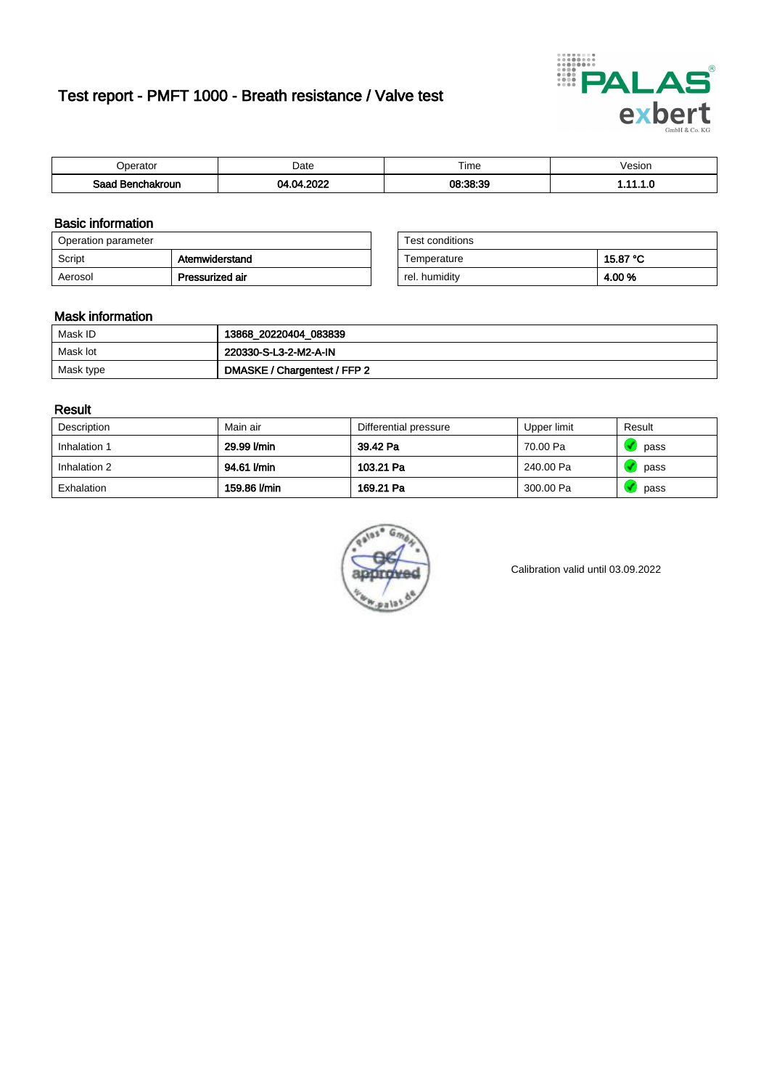# Test report - PMFT 1000 - Breath resistance / Valve test



| )perator               | Date              | $- \cdot$<br>Гіmе | esion |
|------------------------|-------------------|-------------------|-------|
| המס<br>hakroun<br>32 H | 0000<br>м<br>---- | 08:38:39          | .     |

### Basic information

| Operation parameter |                 | Test conditions |          |
|---------------------|-----------------|-----------------|----------|
| Script              | Atemwiderstand  | Temperature     | 15.87 °C |
| Aerosol             | Pressurized air | rel. humidity   | 4.00%    |

| Test conditions |          |
|-----------------|----------|
| Temperature     | 15.87 °C |
| rel. humidity   | 4.00%    |

#### Mask information

| Mask ID   | 13868_20220404_083839        |
|-----------|------------------------------|
| Mask lot  | 220330-S-L3-2-M2-A-IN        |
| Mask type | DMASKE / Chargentest / FFP 2 |

### Result

| Description  | Main air     | Differential pressure | Upper limit | Result |
|--------------|--------------|-----------------------|-------------|--------|
| Inhalation 1 | 29.99 l/min  | 39.42 Pa              | 70.00 Pa    | pass   |
| Inhalation 2 | 94.61 l/min  | 103.21 Pa             | 240.00 Pa   | pass   |
| Exhalation   | 159.86 l/min | 169.21 Pa             | 300.00 Pa   | pass   |



Calibration valid until 03.09.2022